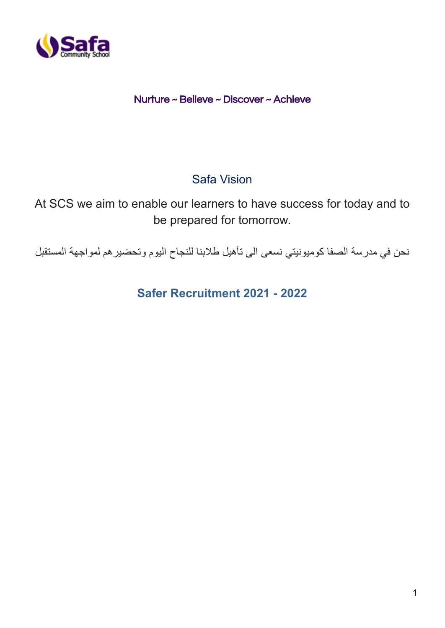

## Nurture ~ Believe ~ Discover ~ Achieve

# Safa Vision

At SCS we aim to enable our learners to have success for today and to be prepared for tomorrow.

نحن في مدرسة الصفا كوميونيتي نسعى الى تأهيل طالبنا للنجاح اليوم وتحضيرهم لمواجهة المستقبل

**Safer Recruitment 2021 - 2022**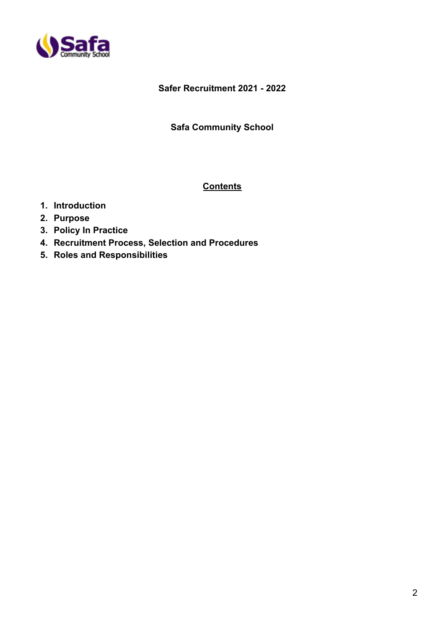

### **Safer Recruitment 2021 - 2022**

#### **Safa Community School**

#### **Contents**

- **1. Introduction**
- **2. Purpose**
- **3. Policy In Practice**
- **4. Recruitment Process, Selection and Procedures**
- **5. Roles and Responsibilities**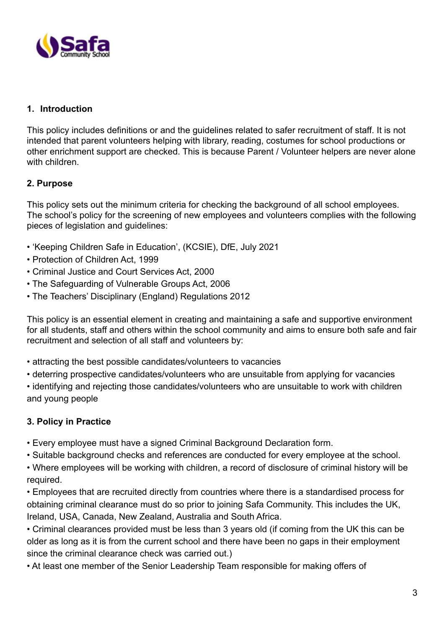

### **1. Introduction**

This policy includes definitions or and the guidelines related to safer recruitment of staff. It is not intended that parent volunteers helping with library, reading, costumes for school productions or other enrichment support are checked. This is because Parent / Volunteer helpers are never alone with children

## **2. Purpose**

This policy sets out the minimum criteria for checking the background of all school employees. The school's policy for the screening of new employees and volunteers complies with the following pieces of legislation and guidelines:

- 'Keeping Children Safe in Education', (KCSIE), DfE, July 2021
- Protection of Children Act, 1999
- Criminal Justice and Court Services Act, 2000
- The Safeguarding of Vulnerable Groups Act, 2006
- The Teachers' Disciplinary (England) Regulations 2012

This policy is an essential element in creating and maintaining a safe and supportive environment for all students, staff and others within the school community and aims to ensure both safe and fair recruitment and selection of all staff and volunteers by:

- attracting the best possible candidates/volunteers to vacancies
- deterring prospective candidates/volunteers who are unsuitable from applying for vacancies
- identifying and rejecting those candidates/volunteers who are unsuitable to work with children and young people

## **3. Policy in Practice**

- Every employee must have a signed Criminal Background Declaration form.
- Suitable background checks and references are conducted for every employee at the school.
- Where employees will be working with children, a record of disclosure of criminal history will be required.
- Employees that are recruited directly from countries where there is a standardised process for obtaining criminal clearance must do so prior to joining Safa Community. This includes the UK, Ireland, USA, Canada, New Zealand, Australia and South Africa.
- Criminal clearances provided must be less than 3 years old (if coming from the UK this can be older as long as it is from the current school and there have been no gaps in their employment since the criminal clearance check was carried out.)
- At least one member of the Senior Leadership Team responsible for making offers of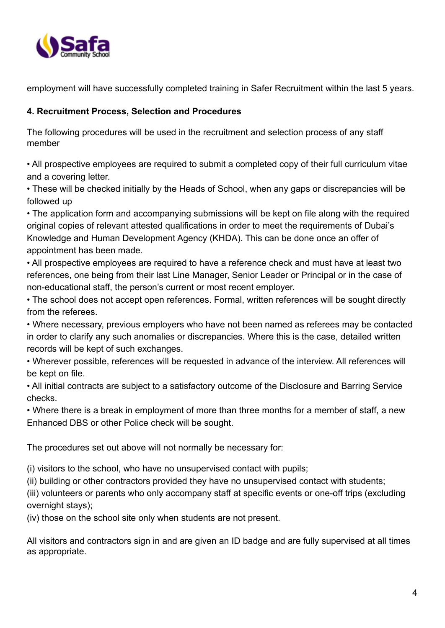

employment will have successfully completed training in Safer Recruitment within the last 5 years.

### **4. Recruitment Process, Selection and Procedures**

The following procedures will be used in the recruitment and selection process of any staff member

• All prospective employees are required to submit a completed copy of their full curriculum vitae and a covering letter.

• These will be checked initially by the Heads of School, when any gaps or discrepancies will be followed up

• The application form and accompanying submissions will be kept on file along with the required original copies of relevant attested qualifications in order to meet the requirements of Dubai's Knowledge and Human Development Agency (KHDA). This can be done once an offer of appointment has been made.

• All prospective employees are required to have a reference check and must have at least two references, one being from their last Line Manager, Senior Leader or Principal or in the case of non-educational staff, the person's current or most recent employer.

• The school does not accept open references. Formal, written references will be sought directly from the referees.

• Where necessary, previous employers who have not been named as referees may be contacted in order to clarify any such anomalies or discrepancies. Where this is the case, detailed written records will be kept of such exchanges.

• Wherever possible, references will be requested in advance of the interview. All references will be kept on file.

• All initial contracts are subject to a satisfactory outcome of the Disclosure and Barring Service checks.

• Where there is a break in employment of more than three months for a member of staff, a new Enhanced DBS or other Police check will be sought.

The procedures set out above will not normally be necessary for:

(i) visitors to the school, who have no unsupervised contact with pupils;

(ii) building or other contractors provided they have no unsupervised contact with students;

(iii) volunteers or parents who only accompany staff at specific events or one-off trips (excluding overnight stays);

(iv) those on the school site only when students are not present.

All visitors and contractors sign in and are given an ID badge and are fully supervised at all times as appropriate.